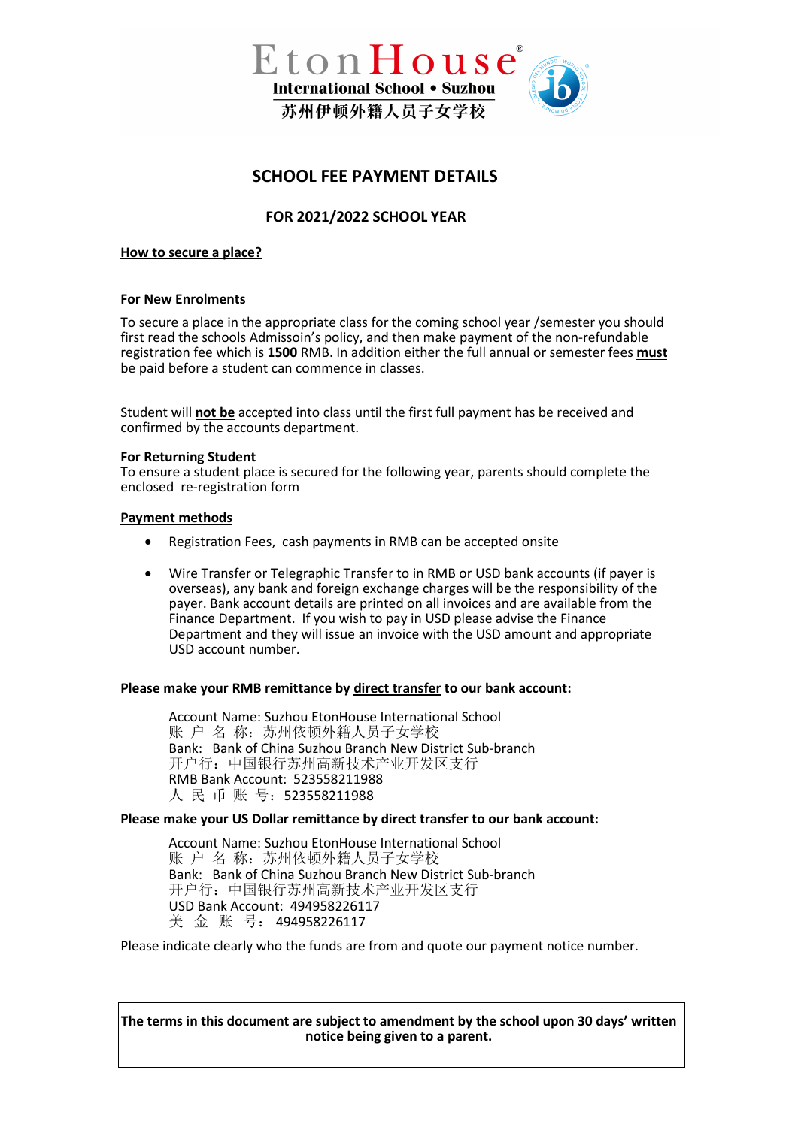

# **SCHOOL FEE PAYMENT DETAILS**

# **FOR 2021/2022 SCHOOL YEAR**

# **How to secure a place?**

# **For New Enrolments**

To secure a place in the appropriate class for the coming school year /semester you should first read the schools Admissoin's policy, and then make payment of the non-refundable registration fee which is **1500** RMB. In addition either the full annual or semester fees **must** be paid before a student can commence in classes.

Student will **not be** accepted into class until the first full payment has be received and confirmed by the accounts department.

# **For Returning Student**

To ensure a student place is secured for the following year, parents should complete the enclosed re-registration form

# **Payment methods**

- Registration Fees, cash payments in RMB can be accepted onsite
- Wire Transfer or Telegraphic Transfer to in RMB or USD bank accounts (if payer is overseas), any bank and foreign exchange charges will be the responsibility of the payer. Bank account details are printed on all invoices and are available from the Finance Department. If you wish to pay in USD please advise the Finance Department and they will issue an invoice with the USD amount and appropriate USD account number.

# **Please make your RMB remittance by direct transfer to our bank account:**

Account Name: Suzhou EtonHouse International School 账 户 名 称:苏州依顿外籍人员子女学校 Bank: Bank of China Suzhou Branch New District Sub-branch 开户行:中国银行苏州高新技术产业开发区支行 RMB Bank Account: 523558211988 人 民 币 账 号:523558211988

# **Please make your US Dollar remittance by direct transfer to our bank account:**

Account Name: Suzhou EtonHouse International School 账 户 名 称:苏州依顿外籍人员子女学校 Bank: Bank of China Suzhou Branch New District Sub-branch 开户行:中国银行苏州高新技术产业开发区支行 USD Bank Account: 494958226117 美 金 账 号: 494958226117

Please indicate clearly who the funds are from and quote our payment notice number.

**The terms in this document are subject to amendment by the school upon 30 days' written notice being given to a parent.**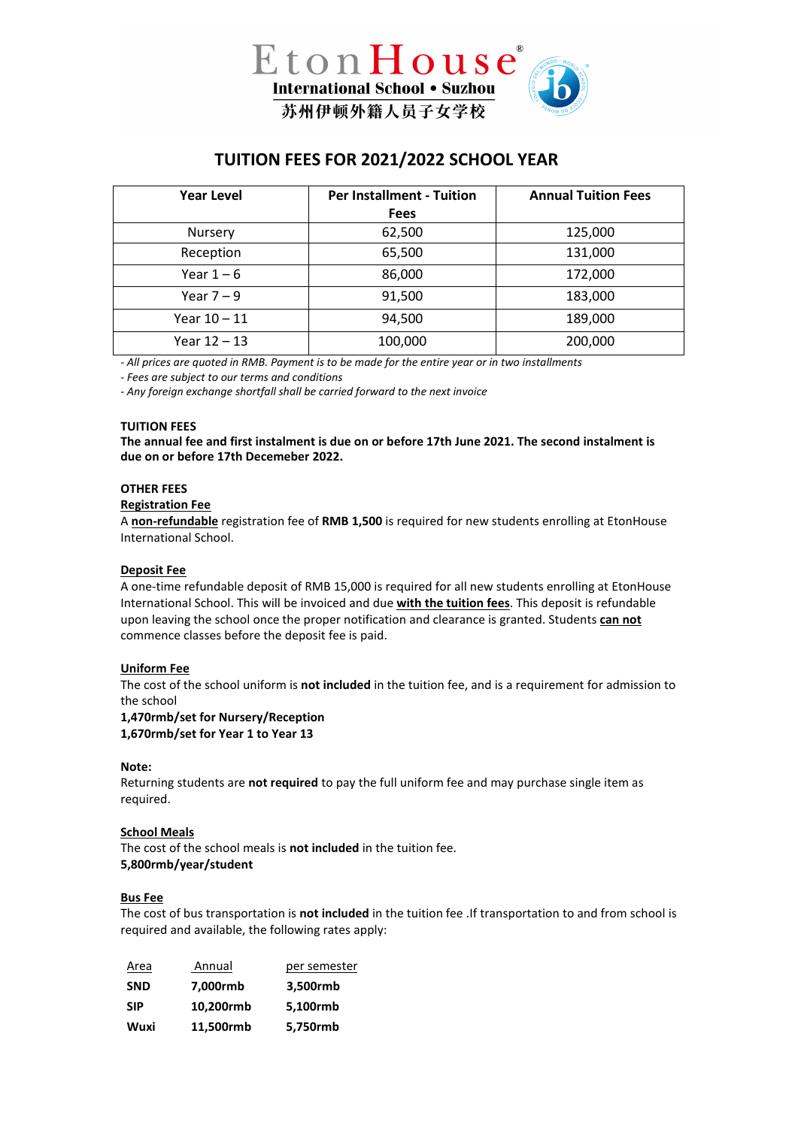

# **TUITION FEES FOR 2021/2022 SCHOOL YEAR**

| <b>Year Level</b> | <b>Per Installment - Tuition</b> | <b>Annual Tuition Fees</b> |
|-------------------|----------------------------------|----------------------------|
|                   | <b>Fees</b>                      |                            |
| Nursery           | 62,500                           | 125,000                    |
| Reception         | 65,500                           | 131,000                    |
| Year $1-6$        | 86,000                           | 172,000                    |
| Year $7-9$        | 91,500                           | 183,000                    |
| Year $10 - 11$    | 94,500                           | 189,000                    |
| Year 12 – 13      | 100,000                          | 200,000                    |

*- All prices are quoted in RMB. Payment is to be made for the entire year or in two installments*

- *Fees are subject to our terms and conditions*

*- Any foreign exchange shortfall shall be carried forward to the next invoice*

#### **TUITION FEES**

**The annual fee and first instalment is due on or before 17th June 2021. The second instalment is due on or before 17th Decemeber 2022.**

#### **OTHER FEES**

#### **Registration Fee**

A **non-refundable** registration fee of **RMB 1,500** is required for new students enrolling at EtonHouse International School.

#### **Deposit Fee**

A one-time refundable deposit of RMB 15,000 is required for all new students enrolling at EtonHouse International School. This will be invoiced and due **with the tuition fees**. This deposit is refundable upon leaving the school once the proper notification and clearance is granted. Students **can not** commence classes before the deposit fee is paid.

#### **Uniform Fee**

The cost of the school uniform is **not included** in the tuition fee, and is a requirement for admission to the school

#### **1,470rmb/set for Nursery/Reception 1,670rmb/set for Year 1 to Year 13**

#### **Note:**

Returning students are **not required** to pay the full uniform fee and may purchase single item as required.

# **School Meals**

The cost of the school meals is **not included** in the tuition fee. **5,800rmb/year/student**

#### **Bus Fee**

The cost of bus transportation is **not included** in the tuition fee .If transportation to and from school is required and available, the following rates apply:

| Area       | Annual    | per semester |
|------------|-----------|--------------|
| <b>SND</b> | 7.000rmb  | 3,500rmb     |
| <b>SIP</b> | 10,200rmb | 5.100rmb     |
| Wuxi       | 11,500rmb | 5,750rmb     |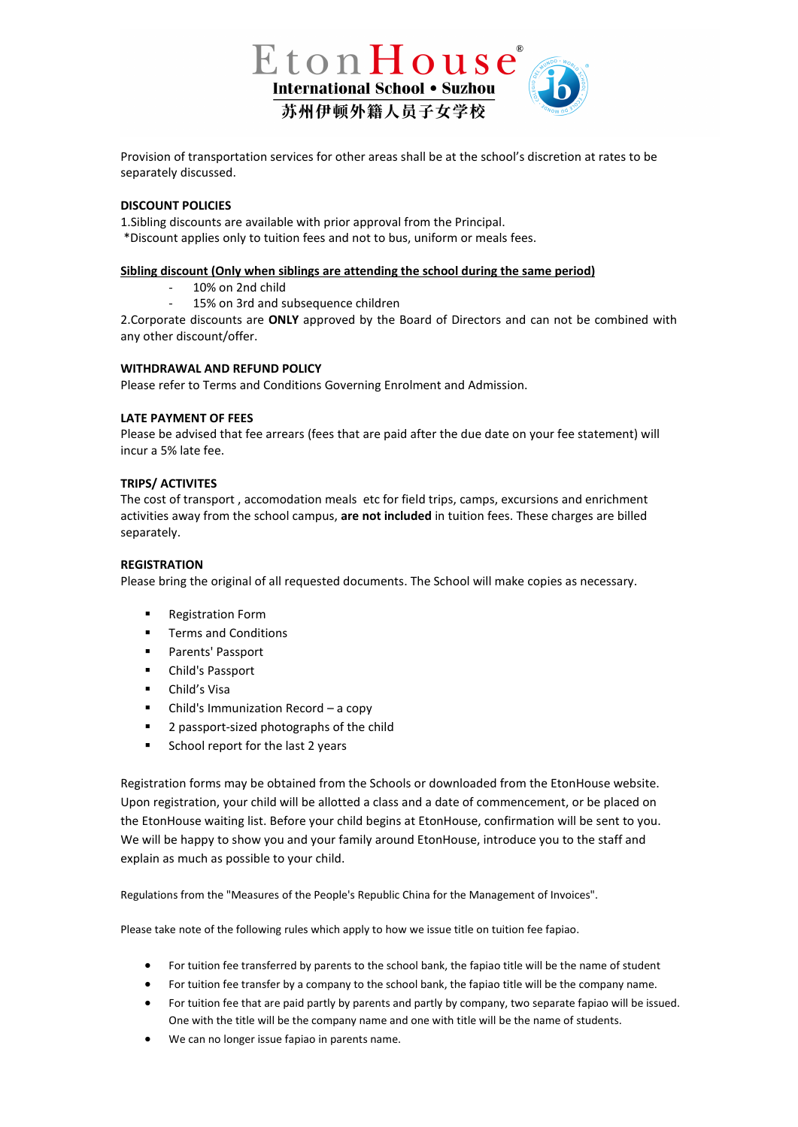

Provision of transportation services for other areas shall be at the school's discretion at rates to be separately discussed.

# **DISCOUNT POLICIES**

1.Sibling discounts are available with prior approval from the Principal. \*Discount applies only to tuition fees and not to bus, uniform or meals fees.

# **Sibling discount (Only when siblings are attending the school during the same period)**

- 10% on 2nd child
- 15% on 3rd and subsequence children

2.Corporate discounts are **ONLY** approved by the Board of Directors and can not be combined with any other discount/offer.

#### **WITHDRAWAL AND REFUND POLICY**

Please refer to Terms and Conditions Governing Enrolment and Admission.

# **LATE PAYMENT OF FEES**

Please be advised that fee arrears (fees that are paid after the due date on your fee statement) will incur a 5% late fee.

#### **TRIPS/ ACTIVITES**

The cost of transport , accomodation meals etc for field trips, camps, excursions and enrichment activities away from the school campus, **are not included** in tuition fees. These charges are billed separately.

# **REGISTRATION**

Please bring the original of all requested documents. The School will make copies as necessary.

- **Registration Form**
- Terms and Conditions
- **Parents' Passport**
- Child's Passport
- Child's Visa
- Child's Immunization Record a copy
- 2 passport-sized photographs of the child
- School report for the last 2 years

Registration forms may be obtained from the Schools or downloaded from the EtonHouse website. Upon registration, your child will be allotted a class and a date of commencement, or be placed on the EtonHouse waiting list. Before your child begins at EtonHouse, confirmation will be sent to you. We will be happy to show you and your family around EtonHouse, introduce you to the staff and explain as much as possible to your child.

Regulations from the "Measures of the People's Republic China for the Management of Invoices".

Please take note of the following rules which apply to how we issue title on tuition fee fapiao.

- For tuition fee transferred by parents to the school bank, the fapiao title will be the name of student
- For tuition fee transfer by a company to the school bank, the fapiao title will be the company name.
- For tuition fee that are paid partly by parents and partly by company, two separate fapiao will be issued. One with the title will be the company name and one with title will be the name of students.
- We can no longer issue fapiao in parents name.